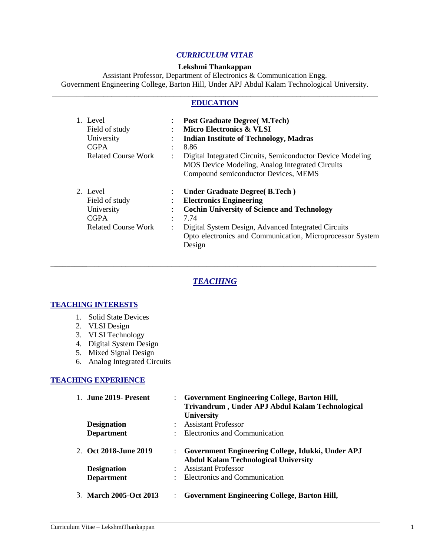## *CURRICULUM VITAE*

#### **Lekshmi Thankappan**

Assistant Professor, Department of Electronics & Communication Engg. Government Engineering College, Barton Hill, Under APJ Abdul Kalam Technological University.

### \_\_\_\_\_\_\_\_\_\_\_\_\_\_\_\_\_\_\_\_\_\_\_\_\_\_\_\_\_\_\_\_\_\_\_\_\_\_\_\_\_\_\_\_\_\_\_\_\_\_\_\_\_\_\_\_\_\_\_\_\_\_\_\_\_\_\_\_\_\_\_\_\_\_\_\_\_\_\_\_\_\_\_\_ **EDUCATION**

| 1. Level<br>Field of study<br>University<br><b>CGPA</b><br><b>Related Course Work</b> | $\vdots$       | <b>Post Graduate Degree (M.Tech)</b><br><b>Micro Electronics &amp; VLSI</b><br><b>Indian Institute of Technology, Madras</b><br>8.86<br>Digital Integrated Circuits, Semiconductor Device Modeling<br><b>MOS Device Modeling, Analog Integrated Circuits</b><br>Compound semiconductor Devices, MEMS |
|---------------------------------------------------------------------------------------|----------------|------------------------------------------------------------------------------------------------------------------------------------------------------------------------------------------------------------------------------------------------------------------------------------------------------|
| 2. Level<br>Field of study<br>University<br><b>CGPA</b><br><b>Related Course Work</b> | $\ddot{\cdot}$ | <b>Under Graduate Degree (B.Tech)</b><br><b>Electronics Engineering</b><br><b>Cochin University of Science and Technology</b><br>7.74<br>Digital System Design, Advanced Integrated Circuits<br>Opto electronics and Communication, Microprocessor System<br>Design                                  |

# *TEACHING*

\_\_\_\_\_\_\_\_\_\_\_\_\_\_\_\_\_\_\_\_\_\_\_\_\_\_\_\_\_\_\_\_\_\_\_\_\_\_\_\_\_\_\_\_\_\_\_\_\_\_\_\_\_\_\_\_\_\_\_\_\_\_\_\_\_\_\_\_\_\_\_\_\_\_\_\_\_\_\_\_\_\_\_\_

### **TEACHING INTERESTS**

- 1. Solid State Devices
- 2. VLSI Design
- 3. VLSI Technology
- 4. Digital System Design
- 5. Mixed Signal Design
- 6. Analog Integrated Circuits

#### **TEACHING EXPERIENCE**

| 1. June 2019 - Present | <b>Government Engineering College, Barton Hill,</b><br>Trivandrum, Under APJ Abdul Kalam Technological<br><b>University</b> |
|------------------------|-----------------------------------------------------------------------------------------------------------------------------|
| <b>Designation</b>     | <b>Assistant Professor</b>                                                                                                  |
| <b>Department</b>      | Electronics and Communication                                                                                               |
| 2. Oct 2018-June 2019  | : Government Engineering College, Idukki, Under APJ<br><b>Abdul Kalam Technological University</b>                          |
| <b>Designation</b>     | <b>Assistant Professor</b>                                                                                                  |
| <b>Department</b>      | Electronics and Communication                                                                                               |
| 3. March 2005-Oct 2013 | <b>Government Engineering College, Barton Hill,</b>                                                                         |